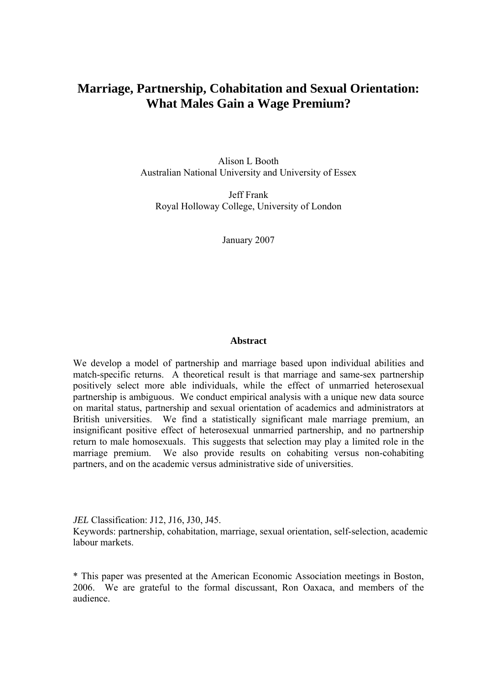## **Marriage, Partnership, Cohabitation and Sexual Orientation: What Males Gain a Wage Premium?**

Alison L Booth Australian National University and University of Essex

Jeff Frank Royal Holloway College, University of London

January 2007

#### **Abstract**

We develop a model of partnership and marriage based upon individual abilities and match-specific returns. A theoretical result is that marriage and same-sex partnership positively select more able individuals, while the effect of unmarried heterosexual partnership is ambiguous. We conduct empirical analysis with a unique new data source on marital status, partnership and sexual orientation of academics and administrators at British universities. We find a statistically significant male marriage premium, an insignificant positive effect of heterosexual unmarried partnership, and no partnership return to male homosexuals. This suggests that selection may play a limited role in the marriage premium. We also provide results on cohabiting versus non-cohabiting partners, and on the academic versus administrative side of universities.

*JEL* Classification: J12, J16, J30, J45.

Keywords: partnership, cohabitation, marriage, sexual orientation, self-selection, academic labour markets.

\* This paper was presented at the American Economic Association meetings in Boston, 2006. We are grateful to the formal discussant, Ron Oaxaca, and members of the audience.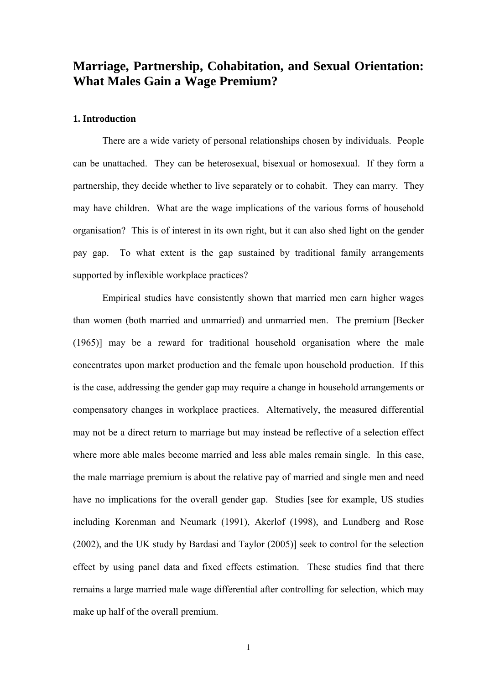# **Marriage, Partnership, Cohabitation, and Sexual Orientation: What Males Gain a Wage Premium?**

#### **1. Introduction**

 There are a wide variety of personal relationships chosen by individuals. People can be unattached. They can be heterosexual, bisexual or homosexual. If they form a partnership, they decide whether to live separately or to cohabit. They can marry. They may have children. What are the wage implications of the various forms of household organisation? This is of interest in its own right, but it can also shed light on the gender pay gap. To what extent is the gap sustained by traditional family arrangements supported by inflexible workplace practices?

 Empirical studies have consistently shown that married men earn higher wages than women (both married and unmarried) and unmarried men. The premium [Becker (1965)] may be a reward for traditional household organisation where the male concentrates upon market production and the female upon household production. If this is the case, addressing the gender gap may require a change in household arrangements or compensatory changes in workplace practices. Alternatively, the measured differential may not be a direct return to marriage but may instead be reflective of a selection effect where more able males become married and less able males remain single. In this case, the male marriage premium is about the relative pay of married and single men and need have no implications for the overall gender gap. Studies [see for example, US studies including Korenman and Neumark (1991), Akerlof (1998), and Lundberg and Rose (2002), and the UK study by Bardasi and Taylor (2005)] seek to control for the selection effect by using panel data and fixed effects estimation. These studies find that there remains a large married male wage differential after controlling for selection, which may make up half of the overall premium.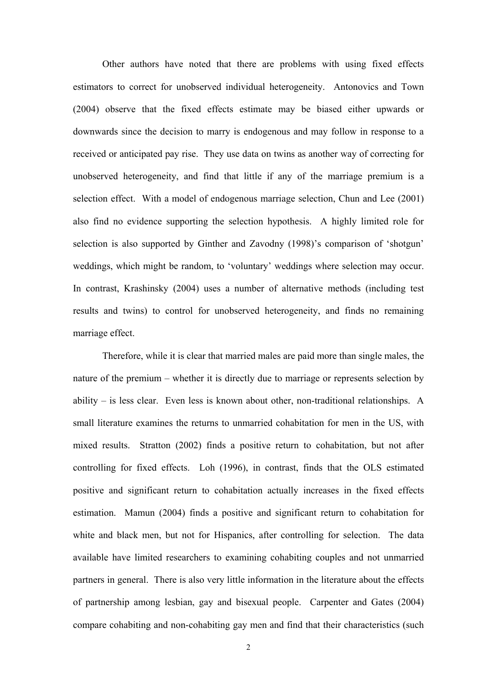Other authors have noted that there are problems with using fixed effects estimators to correct for unobserved individual heterogeneity. Antonovics and Town (2004) observe that the fixed effects estimate may be biased either upwards or downwards since the decision to marry is endogenous and may follow in response to a received or anticipated pay rise. They use data on twins as another way of correcting for unobserved heterogeneity, and find that little if any of the marriage premium is a selection effect. With a model of endogenous marriage selection, Chun and Lee (2001) also find no evidence supporting the selection hypothesis. A highly limited role for selection is also supported by Ginther and Zavodny (1998)'s comparison of 'shotgun' weddings, which might be random, to 'voluntary' weddings where selection may occur. In contrast, Krashinsky (2004) uses a number of alternative methods (including test results and twins) to control for unobserved heterogeneity, and finds no remaining marriage effect.

 Therefore, while it is clear that married males are paid more than single males, the nature of the premium – whether it is directly due to marriage or represents selection by ability – is less clear. Even less is known about other, non-traditional relationships. A small literature examines the returns to unmarried cohabitation for men in the US, with mixed results. Stratton (2002) finds a positive return to cohabitation, but not after controlling for fixed effects. Loh (1996), in contrast, finds that the OLS estimated positive and significant return to cohabitation actually increases in the fixed effects estimation. Mamun (2004) finds a positive and significant return to cohabitation for white and black men, but not for Hispanics, after controlling for selection. The data available have limited researchers to examining cohabiting couples and not unmarried partners in general. There is also very little information in the literature about the effects of partnership among lesbian, gay and bisexual people. Carpenter and Gates (2004) compare cohabiting and non-cohabiting gay men and find that their characteristics (such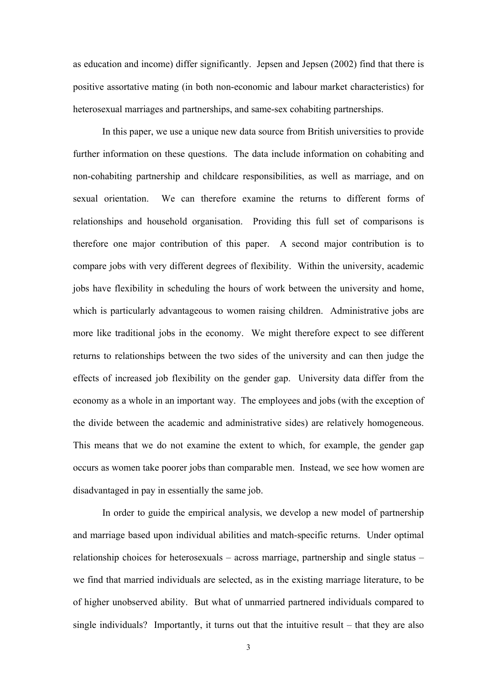as education and income) differ significantly. Jepsen and Jepsen (2002) find that there is positive assortative mating (in both non-economic and labour market characteristics) for heterosexual marriages and partnerships, and same-sex cohabiting partnerships.

 In this paper, we use a unique new data source from British universities to provide further information on these questions. The data include information on cohabiting and non-cohabiting partnership and childcare responsibilities, as well as marriage, and on sexual orientation. We can therefore examine the returns to different forms of relationships and household organisation. Providing this full set of comparisons is therefore one major contribution of this paper. A second major contribution is to compare jobs with very different degrees of flexibility. Within the university, academic jobs have flexibility in scheduling the hours of work between the university and home, which is particularly advantageous to women raising children. Administrative jobs are more like traditional jobs in the economy. We might therefore expect to see different returns to relationships between the two sides of the university and can then judge the effects of increased job flexibility on the gender gap. University data differ from the economy as a whole in an important way. The employees and jobs (with the exception of the divide between the academic and administrative sides) are relatively homogeneous. This means that we do not examine the extent to which, for example, the gender gap occurs as women take poorer jobs than comparable men. Instead, we see how women are disadvantaged in pay in essentially the same job.

 In order to guide the empirical analysis, we develop a new model of partnership and marriage based upon individual abilities and match-specific returns. Under optimal relationship choices for heterosexuals – across marriage, partnership and single status – we find that married individuals are selected, as in the existing marriage literature, to be of higher unobserved ability. But what of unmarried partnered individuals compared to single individuals? Importantly, it turns out that the intuitive result – that they are also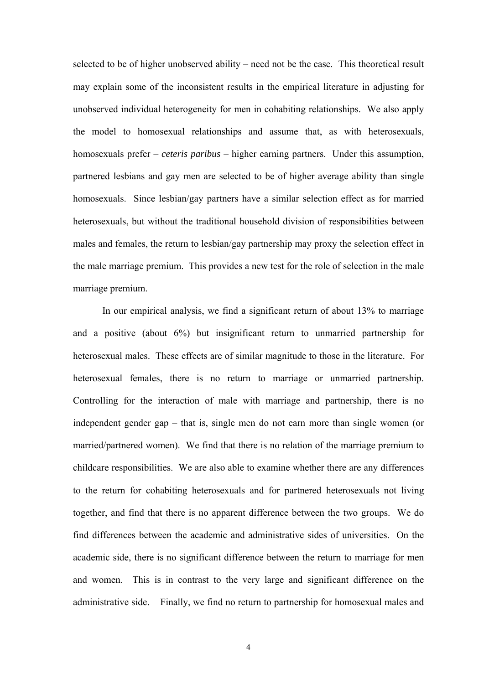selected to be of higher unobserved ability – need not be the case. This theoretical result may explain some of the inconsistent results in the empirical literature in adjusting for unobserved individual heterogeneity for men in cohabiting relationships. We also apply the model to homosexual relationships and assume that, as with heterosexuals, homosexuals prefer – *ceteris paribus* – higher earning partners. Under this assumption, partnered lesbians and gay men are selected to be of higher average ability than single homosexuals. Since lesbian/gay partners have a similar selection effect as for married heterosexuals, but without the traditional household division of responsibilities between males and females, the return to lesbian/gay partnership may proxy the selection effect in the male marriage premium. This provides a new test for the role of selection in the male marriage premium.

 In our empirical analysis, we find a significant return of about 13% to marriage and a positive (about 6%) but insignificant return to unmarried partnership for heterosexual males. These effects are of similar magnitude to those in the literature. For heterosexual females, there is no return to marriage or unmarried partnership. Controlling for the interaction of male with marriage and partnership, there is no independent gender gap – that is, single men do not earn more than single women (or married/partnered women). We find that there is no relation of the marriage premium to childcare responsibilities. We are also able to examine whether there are any differences to the return for cohabiting heterosexuals and for partnered heterosexuals not living together, and find that there is no apparent difference between the two groups. We do find differences between the academic and administrative sides of universities. On the academic side, there is no significant difference between the return to marriage for men and women. This is in contrast to the very large and significant difference on the administrative side. Finally, we find no return to partnership for homosexual males and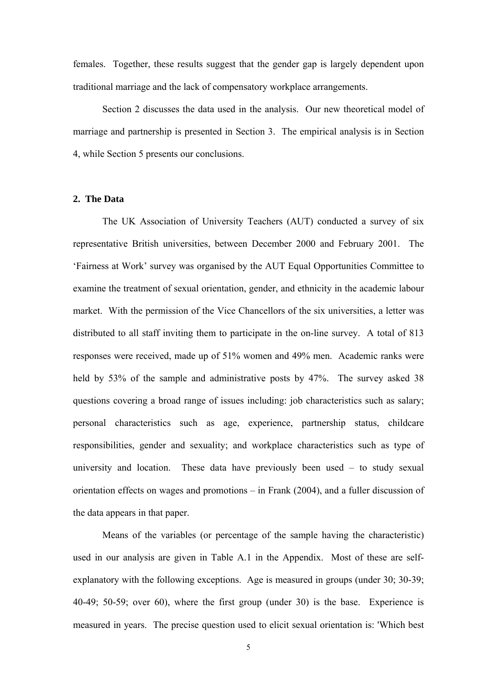females. Together, these results suggest that the gender gap is largely dependent upon traditional marriage and the lack of compensatory workplace arrangements.

 Section 2 discusses the data used in the analysis. Our new theoretical model of marriage and partnership is presented in Section 3. The empirical analysis is in Section 4, while Section 5 presents our conclusions.

## **2. The Data**

The UK Association of University Teachers (AUT) conducted a survey of six representative British universities, between December 2000 and February 2001. The 'Fairness at Work' survey was organised by the AUT Equal Opportunities Committee to examine the treatment of sexual orientation, gender, and ethnicity in the academic labour market. With the permission of the Vice Chancellors of the six universities, a letter was distributed to all staff inviting them to participate in the on-line survey. A total of 813 responses were received, made up of 51% women and 49% men. Academic ranks were held by 53% of the sample and administrative posts by 47%. The survey asked 38 questions covering a broad range of issues including: job characteristics such as salary; personal characteristics such as age, experience, partnership status, childcare responsibilities, gender and sexuality; and workplace characteristics such as type of university and location. These data have previously been used – to study sexual orientation effects on wages and promotions – in Frank (2004), and a fuller discussion of the data appears in that paper.

Means of the variables (or percentage of the sample having the characteristic) used in our analysis are given in Table A.1 in the Appendix. Most of these are selfexplanatory with the following exceptions. Age is measured in groups (under 30; 30-39; 40-49; 50-59; over 60), where the first group (under 30) is the base. Experience is measured in years. The precise question used to elicit sexual orientation is: 'Which best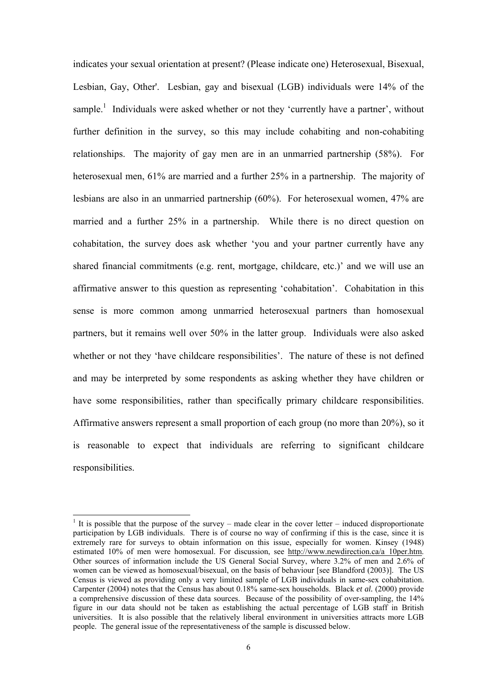indicates your sexual orientation at present? (Please indicate one) Heterosexual, Bisexual, Lesbian, Gay, Other'. Lesbian, gay and bisexual (LGB) individuals were 14% of the sample.<sup>1</sup> Individuals were asked whether or not they 'currently have a partner', without further definition in the survey, so this may include cohabiting and non-cohabiting relationships. The majority of gay men are in an unmarried partnership (58%). For heterosexual men, 61% are married and a further 25% in a partnership. The majority of lesbians are also in an unmarried partnership (60%). For heterosexual women, 47% are married and a further 25% in a partnership. While there is no direct question on cohabitation, the survey does ask whether 'you and your partner currently have any shared financial commitments (e.g. rent, mortgage, childcare, etc.)' and we will use an affirmative answer to this question as representing 'cohabitation'. Cohabitation in this sense is more common among unmarried heterosexual partners than homosexual partners, but it remains well over 50% in the latter group. Individuals were also asked whether or not they 'have childcare responsibilities'. The nature of these is not defined and may be interpreted by some respondents as asking whether they have children or have some responsibilities, rather than specifically primary childcare responsibilities. Affirmative answers represent a small proportion of each group (no more than 20%), so it is reasonable to expect that individuals are referring to significant childcare responsibilities.

l

<sup>&</sup>lt;sup>1</sup> It is possible that the purpose of the survey – made clear in the cover letter – induced disproportionate participation by LGB individuals. There is of course no way of confirming if this is the case, since it is extremely rare for surveys to obtain information on this issue, especially for women. Kinsey (1948) estimated 10% of men were homosexual. For discussion, see http://www.newdirection.ca/a\_10per.htm. Other sources of information include the US General Social Survey, where 3.2% of men and 2.6% of women can be viewed as homosexual/bisexual, on the basis of behaviour [see Blandford (2003)]. The US Census is viewed as providing only a very limited sample of LGB individuals in same-sex cohabitation. Carpenter (2004) notes that the Census has about 0.18% same-sex households. Black *et al.* (2000) provide a comprehensive discussion of these data sources. Because of the possibility of over-sampling, the 14% figure in our data should not be taken as establishing the actual percentage of LGB staff in British universities. It is also possible that the relatively liberal environment in universities attracts more LGB people. The general issue of the representativeness of the sample is discussed below.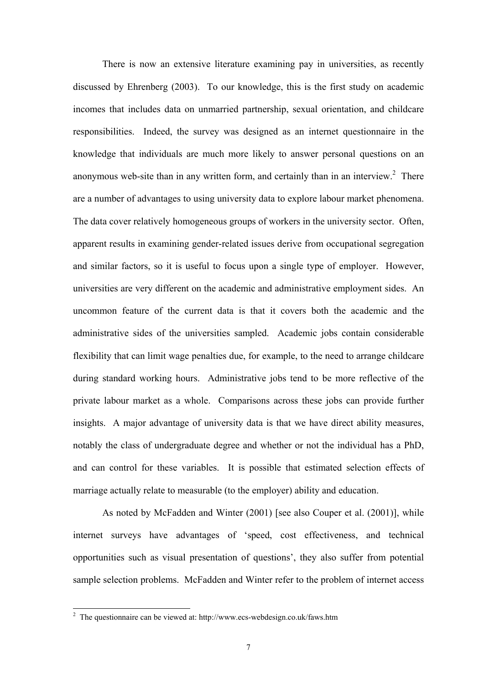There is now an extensive literature examining pay in universities, as recently discussed by Ehrenberg (2003). To our knowledge, this is the first study on academic incomes that includes data on unmarried partnership, sexual orientation, and childcare responsibilities. Indeed, the survey was designed as an internet questionnaire in the knowledge that individuals are much more likely to answer personal questions on an anonymous web-site than in any written form, and certainly than in an interview.<sup>2</sup> There are a number of advantages to using university data to explore labour market phenomena. The data cover relatively homogeneous groups of workers in the university sector. Often, apparent results in examining gender-related issues derive from occupational segregation and similar factors, so it is useful to focus upon a single type of employer. However, universities are very different on the academic and administrative employment sides. An uncommon feature of the current data is that it covers both the academic and the administrative sides of the universities sampled. Academic jobs contain considerable flexibility that can limit wage penalties due, for example, to the need to arrange childcare during standard working hours. Administrative jobs tend to be more reflective of the private labour market as a whole. Comparisons across these jobs can provide further insights. A major advantage of university data is that we have direct ability measures, notably the class of undergraduate degree and whether or not the individual has a PhD, and can control for these variables. It is possible that estimated selection effects of marriage actually relate to measurable (to the employer) ability and education.

As noted by McFadden and Winter (2001) [see also Couper et al. (2001)], while internet surveys have advantages of 'speed, cost effectiveness, and technical opportunities such as visual presentation of questions', they also suffer from potential sample selection problems. McFadden and Winter refer to the problem of internet access

<sup>&</sup>lt;sup>2</sup> The questionnaire can be viewed at: http://www.ecs-webdesign.co.uk/faws.htm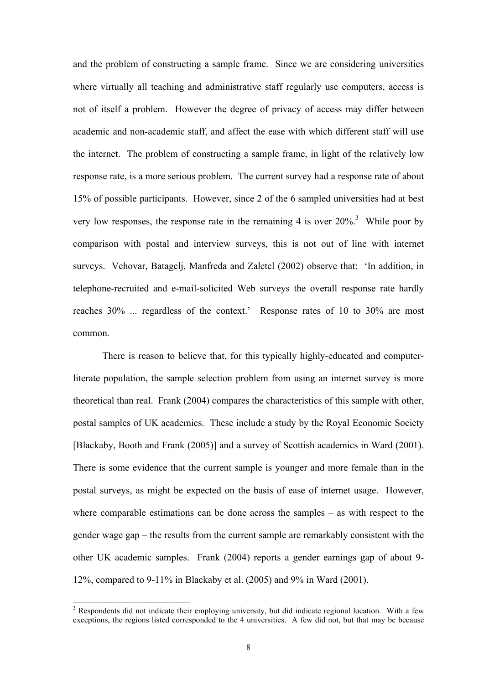and the problem of constructing a sample frame. Since we are considering universities where virtually all teaching and administrative staff regularly use computers, access is not of itself a problem. However the degree of privacy of access may differ between academic and non-academic staff, and affect the ease with which different staff will use the internet. The problem of constructing a sample frame, in light of the relatively low response rate, is a more serious problem. The current survey had a response rate of about 15% of possible participants. However, since 2 of the 6 sampled universities had at best very low responses, the response rate in the remaining 4 is over  $20\%$ <sup>3</sup>. While poor by comparison with postal and interview surveys, this is not out of line with internet surveys. Vehovar, Batagelj, Manfreda and Zaletel (2002) observe that: 'In addition, in telephone-recruited and e-mail-solicited Web surveys the overall response rate hardly reaches 30% ... regardless of the context.' Response rates of 10 to 30% are most common.

There is reason to believe that, for this typically highly-educated and computerliterate population, the sample selection problem from using an internet survey is more theoretical than real. Frank (2004) compares the characteristics of this sample with other, postal samples of UK academics. These include a study by the Royal Economic Society [Blackaby, Booth and Frank (2005)] and a survey of Scottish academics in Ward (2001). There is some evidence that the current sample is younger and more female than in the postal surveys, as might be expected on the basis of ease of internet usage. However, where comparable estimations can be done across the samples – as with respect to the gender wage gap – the results from the current sample are remarkably consistent with the other UK academic samples. Frank (2004) reports a gender earnings gap of about 9- 12%, compared to 9-11% in Blackaby et al. (2005) and 9% in Ward (2001).

l

<sup>&</sup>lt;sup>3</sup> Respondents did not indicate their employing university, but did indicate regional location. With a few exceptions, the regions listed corresponded to the 4 universities. A few did not, but that may be because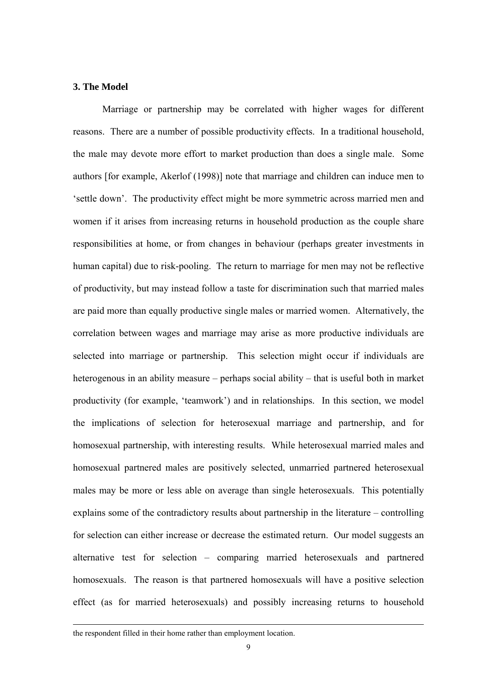#### **3. The Model**

Marriage or partnership may be correlated with higher wages for different reasons. There are a number of possible productivity effects. In a traditional household, the male may devote more effort to market production than does a single male. Some authors [for example, Akerlof (1998)] note that marriage and children can induce men to 'settle down'. The productivity effect might be more symmetric across married men and women if it arises from increasing returns in household production as the couple share responsibilities at home, or from changes in behaviour (perhaps greater investments in human capital) due to risk-pooling. The return to marriage for men may not be reflective of productivity, but may instead follow a taste for discrimination such that married males are paid more than equally productive single males or married women. Alternatively, the correlation between wages and marriage may arise as more productive individuals are selected into marriage or partnership. This selection might occur if individuals are heterogenous in an ability measure – perhaps social ability – that is useful both in market productivity (for example, 'teamwork') and in relationships. In this section, we model the implications of selection for heterosexual marriage and partnership, and for homosexual partnership, with interesting results. While heterosexual married males and homosexual partnered males are positively selected, unmarried partnered heterosexual males may be more or less able on average than single heterosexuals. This potentially explains some of the contradictory results about partnership in the literature – controlling for selection can either increase or decrease the estimated return. Our model suggests an alternative test for selection – comparing married heterosexuals and partnered homosexuals. The reason is that partnered homosexuals will have a positive selection effect (as for married heterosexuals) and possibly increasing returns to household

the respondent filled in their home rather than employment location.

-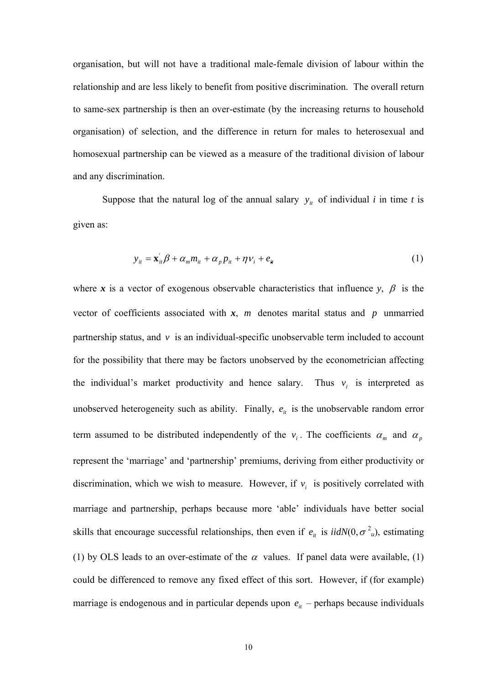organisation, but will not have a traditional male-female division of labour within the relationship and are less likely to benefit from positive discrimination. The overall return to same-sex partnership is then an over-estimate (by the increasing returns to household organisation) of selection, and the difference in return for males to heterosexual and homosexual partnership can be viewed as a measure of the traditional division of labour and any discrimination.

Suppose that the natural log of the annual salary  $y_{it}$  of individual *i* in time *t* is given as:

$$
y_{it} = \mathbf{x}_{it} \boldsymbol{\beta} + \alpha_m m_{it} + \alpha_p p_{it} + \eta v_i + e_{it}
$$
 (1)

where x is a vector of exogenous observable characteristics that influence  $y$ ,  $\beta$  is the vector of coefficients associated with *x*, *m* denotes marital status and *p* unmarried partnership status, and  $v$  is an individual-specific unobservable term included to account for the possibility that there may be factors unobserved by the econometrician affecting the individual's market productivity and hence salary. Thus  $v_i$  is interpreted as unobserved heterogeneity such as ability. Finally,  $e_{it}$  is the unobservable random error term assumed to be distributed independently of the  $v_i$ . The coefficients  $\alpha_m$  and  $\alpha_p$ represent the 'marriage' and 'partnership' premiums, deriving from either productivity or discrimination, which we wish to measure. However, if  $v_i$  is positively correlated with marriage and partnership, perhaps because more 'able' individuals have better social skills that encourage successful relationships, then even if  $e_{it}$  is  $iidN(0, \sigma^2_{u})$ , estimating (1) by OLS leads to an over-estimate of the  $\alpha$  values. If panel data were available, (1) could be differenced to remove any fixed effect of this sort. However, if (for example) marriage is endogenous and in particular depends upon  $e_{it}$  – perhaps because individuals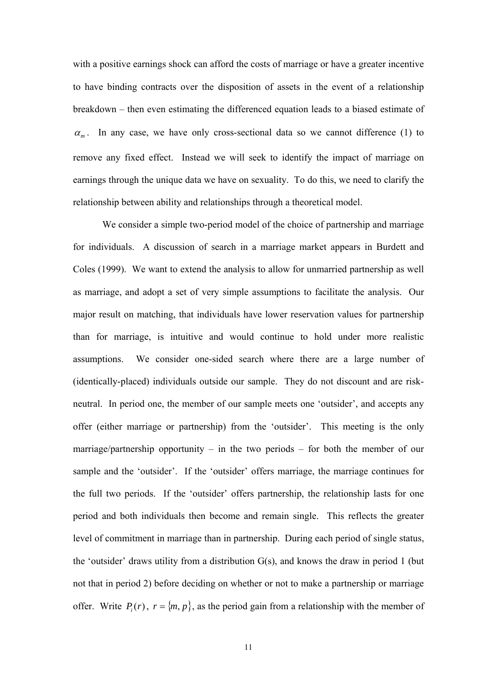with a positive earnings shock can afford the costs of marriage or have a greater incentive to have binding contracts over the disposition of assets in the event of a relationship breakdown – then even estimating the differenced equation leads to a biased estimate of  $\alpha_{m}$ . In any case, we have only cross-sectional data so we cannot difference (1) to remove any fixed effect. Instead we will seek to identify the impact of marriage on earnings through the unique data we have on sexuality. To do this, we need to clarify the relationship between ability and relationships through a theoretical model.

 We consider a simple two-period model of the choice of partnership and marriage for individuals. A discussion of search in a marriage market appears in Burdett and Coles (1999). We want to extend the analysis to allow for unmarried partnership as well as marriage, and adopt a set of very simple assumptions to facilitate the analysis. Our major result on matching, that individuals have lower reservation values for partnership than for marriage, is intuitive and would continue to hold under more realistic assumptions. We consider one-sided search where there are a large number of (identically-placed) individuals outside our sample. They do not discount and are riskneutral. In period one, the member of our sample meets one 'outsider', and accepts any offer (either marriage or partnership) from the 'outsider'. This meeting is the only marriage/partnership opportunity – in the two periods – for both the member of our sample and the 'outsider'. If the 'outsider' offers marriage, the marriage continues for the full two periods. If the 'outsider' offers partnership, the relationship lasts for one period and both individuals then become and remain single. This reflects the greater level of commitment in marriage than in partnership. During each period of single status, the 'outsider' draws utility from a distribution  $G(s)$ , and knows the draw in period 1 (but not that in period 2) before deciding on whether or not to make a partnership or marriage offer. Write  $P_i(r)$ ,  $r = \{m, p\}$ , as the period gain from a relationship with the member of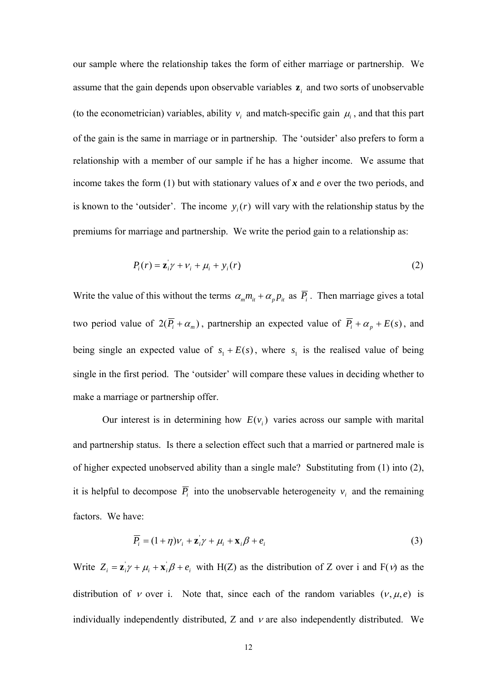our sample where the relationship takes the form of either marriage or partnership. We assume that the gain depends upon observable variables  $z_i$  and two sorts of unobservable (to the econometrician) variables, ability  $v_i$  and match-specific gain  $\mu_i$ , and that this part of the gain is the same in marriage or in partnership. The 'outsider' also prefers to form a relationship with a member of our sample if he has a higher income. We assume that income takes the form (1) but with stationary values of *x* and *e* over the two periods, and is known to the 'outsider'. The income  $y_i(r)$  will vary with the relationship status by the premiums for marriage and partnership. We write the period gain to a relationship as:

$$
P_i(r) = \mathbf{z}_i' \gamma + \nu_i + \mu_i + \mathbf{y}_i(r) \tag{2}
$$

Write the value of this without the terms  $\alpha_m m_{it} + \alpha_p p_{it}$  as  $\overline{P_i}$ . Then marriage gives a total two period value of  $2(\overline{P}_i + \alpha_m)$ , partnership an expected value of  $\overline{P}_i + \alpha_p + E(s)$ , and being single an expected value of  $s_1 + E(s)$ , where  $s_1$  is the realised value of being single in the first period. The 'outsider' will compare these values in deciding whether to make a marriage or partnership offer.

Our interest is in determining how  $E(v_i)$  varies across our sample with marital and partnership status. Is there a selection effect such that a married or partnered male is of higher expected unobserved ability than a single male? Substituting from (1) into (2), it is helpful to decompose  $\overline{P_i}$  into the unobservable heterogeneity  $v_i$  and the remaining factors. We have:

$$
\overline{P_i} = (1 + \eta)v_i + \mathbf{z}_i' \gamma + \mu_i + \mathbf{x}_i \beta + e_i
$$
\n(3)

Write  $Z_i = \mathbf{z}_i \gamma + \mu_i + \mathbf{x}_i \beta + e_i$  with H(Z) as the distribution of Z over i and F(v) as the distribution of *v* over i. Note that, since each of the random variables  $(v, \mu, e)$  is individually independently distributed. Z and  $\nu$  are also independently distributed. We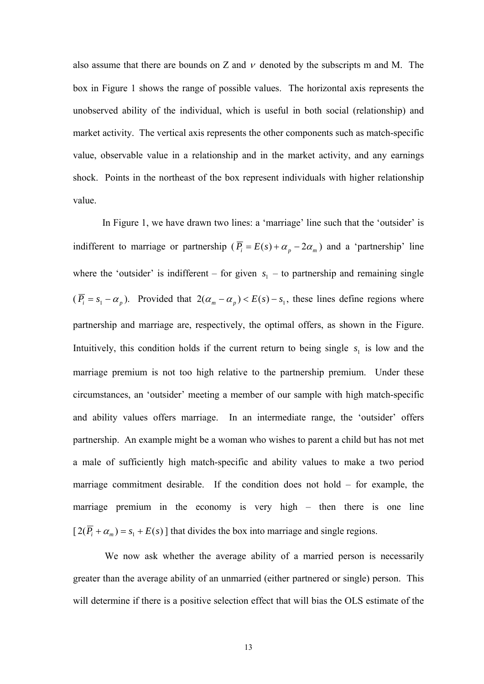also assume that there are bounds on Z and  $\nu$  denoted by the subscripts m and M. The box in Figure 1 shows the range of possible values. The horizontal axis represents the unobserved ability of the individual, which is useful in both social (relationship) and market activity. The vertical axis represents the other components such as match-specific value, observable value in a relationship and in the market activity, and any earnings shock. Points in the northeast of the box represent individuals with higher relationship value.

 In Figure 1, we have drawn two lines: a 'marriage' line such that the 'outsider' is indifferent to marriage or partnership ( $\overline{P_i} = E(s) + \alpha_p - 2\alpha_m$ ) and a 'partnership' line where the 'outsider' is indifferent – for given  $s_1$  – to partnership and remaining single  $(\overline{P}_i = s_1 - \alpha_p)$ . Provided that  $2(\alpha_m - \alpha_p) < E(s) - s_1$ , these lines define regions where partnership and marriage are, respectively, the optimal offers, as shown in the Figure. Intuitively, this condition holds if the current return to being single  $s<sub>1</sub>$  is low and the marriage premium is not too high relative to the partnership premium. Under these circumstances, an 'outsider' meeting a member of our sample with high match-specific and ability values offers marriage. In an intermediate range, the 'outsider' offers partnership. An example might be a woman who wishes to parent a child but has not met a male of sufficiently high match-specific and ability values to make a two period marriage commitment desirable. If the condition does not hold – for example, the marriage premium in the economy is very high – then there is one line  $[2(\overline{P}_i + \alpha_m) = s_1 + E(s)]$  that divides the box into marriage and single regions.

We now ask whether the average ability of a married person is necessarily greater than the average ability of an unmarried (either partnered or single) person. This will determine if there is a positive selection effect that will bias the OLS estimate of the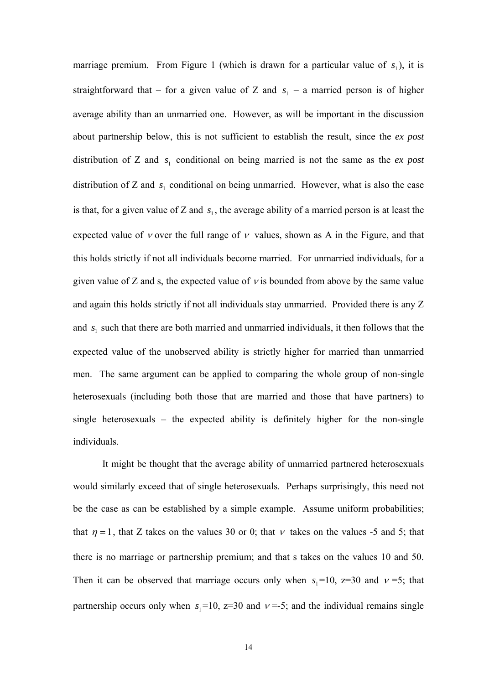marriage premium. From Figure 1 (which is drawn for a particular value of  $s_1$ ), it is straightforward that – for a given value of Z and  $s<sub>1</sub>$  – a married person is of higher average ability than an unmarried one. However, as will be important in the discussion about partnership below, this is not sufficient to establish the result, since the *ex post*  distribution of Z and  $s<sub>1</sub>$  conditional on being married is not the same as the *ex post* distribution of Z and  $s<sub>1</sub>$  conditional on being unmarried. However, what is also the case is that, for a given value of Z and  $s<sub>1</sub>$ , the average ability of a married person is at least the expected value of *v* over the full range of *v* values, shown as A in the Figure, and that this holds strictly if not all individuals become married. For unmarried individuals, for a given value of Z and s, the expected value of  $\nu$  is bounded from above by the same value and again this holds strictly if not all individuals stay unmarried. Provided there is any Z and  $s<sub>1</sub>$  such that there are both married and unmarried individuals, it then follows that the expected value of the unobserved ability is strictly higher for married than unmarried men. The same argument can be applied to comparing the whole group of non-single heterosexuals (including both those that are married and those that have partners) to single heterosexuals – the expected ability is definitely higher for the non-single individuals.

 It might be thought that the average ability of unmarried partnered heterosexuals would similarly exceed that of single heterosexuals. Perhaps surprisingly, this need not be the case as can be established by a simple example. Assume uniform probabilities; that  $\eta = 1$ , that Z takes on the values 30 or 0; that v takes on the values -5 and 5; that there is no marriage or partnership premium; and that s takes on the values 10 and 50. Then it can be observed that marriage occurs only when  $s_1 = 10$ ,  $z=30$  and  $v=5$ ; that partnership occurs only when  $s_1 = 10$ ,  $z = 30$  and  $v = -5$ ; and the individual remains single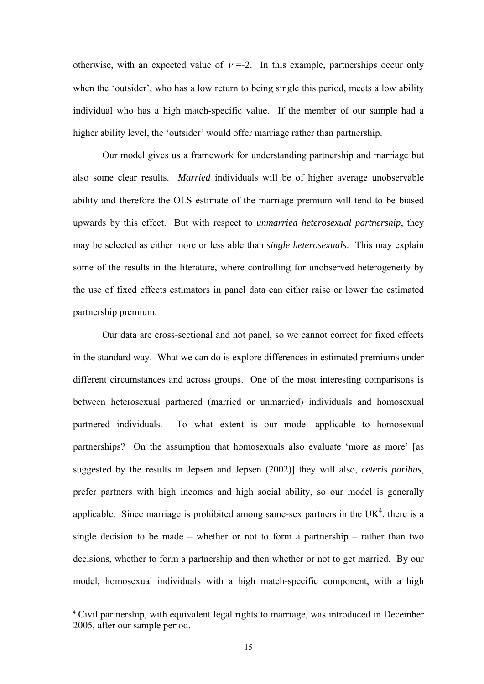otherwise, with an expected value of  $v = -2$ . In this example, partnerships occur only when the 'outsider', who has a low return to being single this period, meets a low ability individual who has a high match-specific value. If the member of our sample had a higher ability level, the 'outsider' would offer marriage rather than partnership.

 Our model gives us a framework for understanding partnership and marriage but also some clear results. *Married* individuals will be of higher average unobservable ability and therefore the OLS estimate of the marriage premium will tend to be biased upwards by this effect. But with respect to *unmarried heterosexual partnership*, they may be selected as either more or less able than *single heterosexuals*. This may explain some of the results in the literature, where controlling for unobserved heterogeneity by the use of fixed effects estimators in panel data can either raise or lower the estimated partnership premium.

 Our data are cross-sectional and not panel, so we cannot correct for fixed effects in the standard way. What we can do is explore differences in estimated premiums under different circumstances and across groups. One of the most interesting comparisons is between heterosexual partnered (married or unmarried) individuals and homosexual partnered individuals. To what extent is our model applicable to homosexual partnerships? On the assumption that homosexuals also evaluate 'more as more' [as suggested by the results in Jepsen and Jepsen (2002)] they will also, *ceteris paribus*, prefer partners with high incomes and high social ability, so our model is generally applicable. Since marriage is prohibited among same-sex partners in the  $UK<sup>4</sup>$ , there is a single decision to be made – whether or not to form a partnership – rather than two decisions, whether to form a partnership and then whether or not to get married. By our model, homosexual individuals with a high match-specific component, with a high

l

<sup>4</sup> Civil partnership, with equivalent legal rights to marriage, was introduced in December 2005, after our sample period.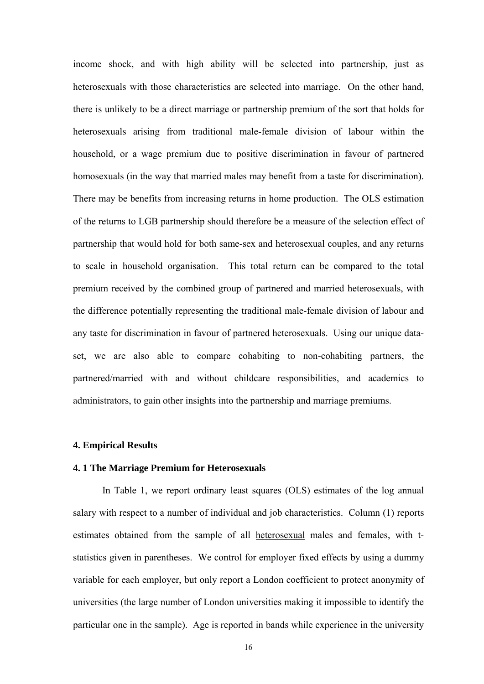income shock, and with high ability will be selected into partnership, just as heterosexuals with those characteristics are selected into marriage. On the other hand, there is unlikely to be a direct marriage or partnership premium of the sort that holds for heterosexuals arising from traditional male-female division of labour within the household, or a wage premium due to positive discrimination in favour of partnered homosexuals (in the way that married males may benefit from a taste for discrimination). There may be benefits from increasing returns in home production. The OLS estimation of the returns to LGB partnership should therefore be a measure of the selection effect of partnership that would hold for both same-sex and heterosexual couples, and any returns to scale in household organisation. This total return can be compared to the total premium received by the combined group of partnered and married heterosexuals, with the difference potentially representing the traditional male-female division of labour and any taste for discrimination in favour of partnered heterosexuals. Using our unique dataset, we are also able to compare cohabiting to non-cohabiting partners, the partnered/married with and without childcare responsibilities, and academics to administrators, to gain other insights into the partnership and marriage premiums.

#### **4. Empirical Results**

#### **4. 1 The Marriage Premium for Heterosexuals**

 In Table 1, we report ordinary least squares (OLS) estimates of the log annual salary with respect to a number of individual and job characteristics. Column (1) reports estimates obtained from the sample of all heterosexual males and females, with tstatistics given in parentheses. We control for employer fixed effects by using a dummy variable for each employer, but only report a London coefficient to protect anonymity of universities (the large number of London universities making it impossible to identify the particular one in the sample). Age is reported in bands while experience in the university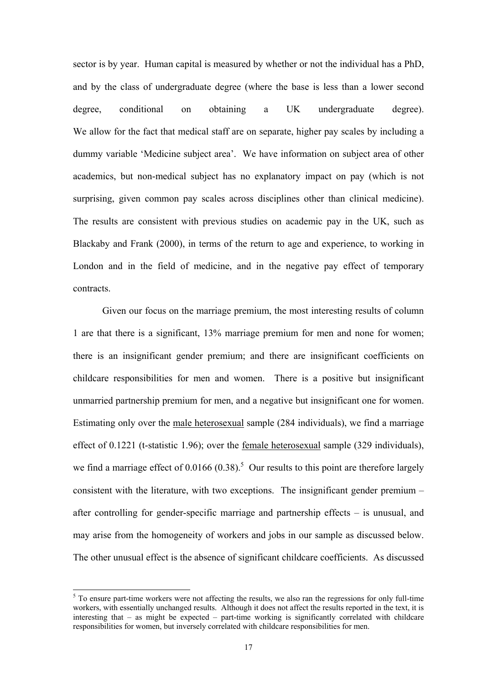sector is by year. Human capital is measured by whether or not the individual has a PhD, and by the class of undergraduate degree (where the base is less than a lower second degree, conditional on obtaining a UK undergraduate degree). We allow for the fact that medical staff are on separate, higher pay scales by including a dummy variable 'Medicine subject area'. We have information on subject area of other academics, but non-medical subject has no explanatory impact on pay (which is not surprising, given common pay scales across disciplines other than clinical medicine). The results are consistent with previous studies on academic pay in the UK, such as Blackaby and Frank (2000), in terms of the return to age and experience, to working in London and in the field of medicine, and in the negative pay effect of temporary contracts.

Given our focus on the marriage premium, the most interesting results of column 1 are that there is a significant, 13% marriage premium for men and none for women; there is an insignificant gender premium; and there are insignificant coefficients on childcare responsibilities for men and women. There is a positive but insignificant unmarried partnership premium for men, and a negative but insignificant one for women. Estimating only over the male heterosexual sample (284 individuals), we find a marriage effect of 0.1221 (t-statistic 1.96); over the female heterosexual sample (329 individuals), we find a marriage effect of 0.0166 (0.38).<sup>5</sup> Our results to this point are therefore largely consistent with the literature, with two exceptions. The insignificant gender premium – after controlling for gender-specific marriage and partnership effects – is unusual, and may arise from the homogeneity of workers and jobs in our sample as discussed below. The other unusual effect is the absence of significant childcare coefficients. As discussed

 $5$  To ensure part-time workers were not affecting the results, we also ran the regressions for only full-time workers, with essentially unchanged results. Although it does not affect the results reported in the text, it is interesting that – as might be expected – part-time working is significantly correlated with childcare responsibilities for women, but inversely correlated with childcare responsibilities for men.

l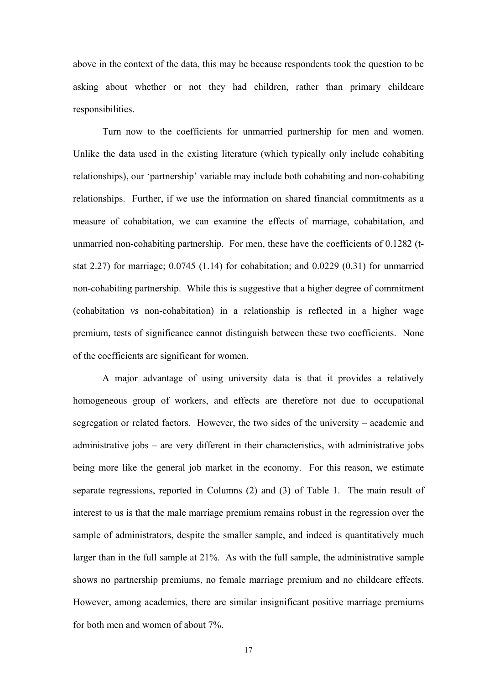above in the context of the data, this may be because respondents took the question to be asking about whether or not they had children, rather than primary childcare responsibilities.

Turn now to the coefficients for unmarried partnership for men and women. Unlike the data used in the existing literature (which typically only include cohabiting relationships), our 'partnership' variable may include both cohabiting and non-cohabiting relationships. Further, if we use the information on shared financial commitments as a measure of cohabitation, we can examine the effects of marriage, cohabitation, and unmarried non-cohabiting partnership. For men, these have the coefficients of 0.1282 (tstat 2.27) for marriage; 0.0745 (1.14) for cohabitation; and 0.0229 (0.31) for unmarried non-cohabiting partnership. While this is suggestive that a higher degree of commitment (cohabitation *vs* non-cohabitation) in a relationship is reflected in a higher wage premium, tests of significance cannot distinguish between these two coefficients. None of the coefficients are significant for women.

A major advantage of using university data is that it provides a relatively homogeneous group of workers, and effects are therefore not due to occupational segregation or related factors. However, the two sides of the university – academic and administrative jobs – are very different in their characteristics, with administrative jobs being more like the general job market in the economy. For this reason, we estimate separate regressions, reported in Columns (2) and (3) of Table 1. The main result of interest to us is that the male marriage premium remains robust in the regression over the sample of administrators, despite the smaller sample, and indeed is quantitatively much larger than in the full sample at 21%. As with the full sample, the administrative sample shows no partnership premiums, no female marriage premium and no childcare effects. However, among academics, there are similar insignificant positive marriage premiums for both men and women of about 7%.

17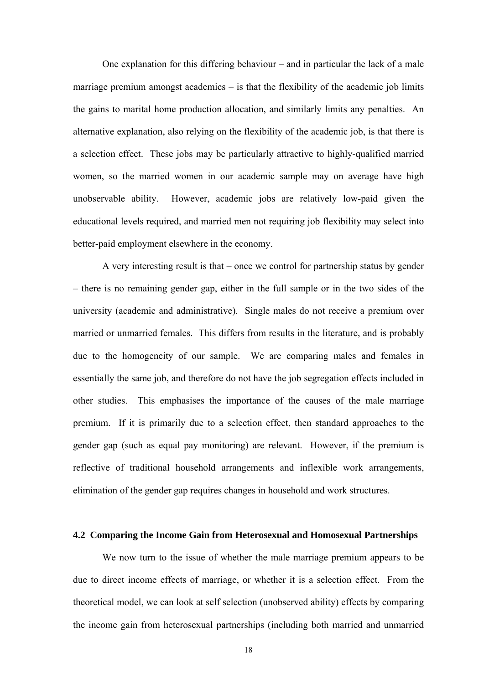One explanation for this differing behaviour – and in particular the lack of a male marriage premium amongst academics – is that the flexibility of the academic job limits the gains to marital home production allocation, and similarly limits any penalties. An alternative explanation, also relying on the flexibility of the academic job, is that there is a selection effect. These jobs may be particularly attractive to highly-qualified married women, so the married women in our academic sample may on average have high unobservable ability. However, academic jobs are relatively low-paid given the educational levels required, and married men not requiring job flexibility may select into better-paid employment elsewhere in the economy.

A very interesting result is that – once we control for partnership status by gender – there is no remaining gender gap, either in the full sample or in the two sides of the university (academic and administrative). Single males do not receive a premium over married or unmarried females. This differs from results in the literature, and is probably due to the homogeneity of our sample. We are comparing males and females in essentially the same job, and therefore do not have the job segregation effects included in other studies. This emphasises the importance of the causes of the male marriage premium. If it is primarily due to a selection effect, then standard approaches to the gender gap (such as equal pay monitoring) are relevant. However, if the premium is reflective of traditional household arrangements and inflexible work arrangements, elimination of the gender gap requires changes in household and work structures.

## **4.2 Comparing the Income Gain from Heterosexual and Homosexual Partnerships**

We now turn to the issue of whether the male marriage premium appears to be due to direct income effects of marriage, or whether it is a selection effect. From the theoretical model, we can look at self selection (unobserved ability) effects by comparing the income gain from heterosexual partnerships (including both married and unmarried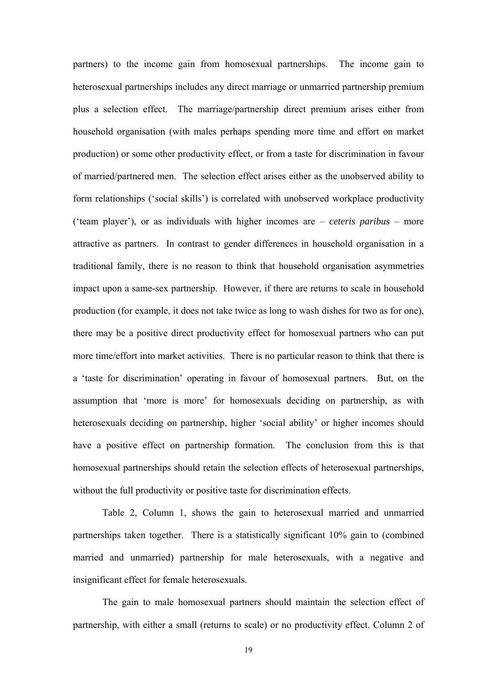partners) to the income gain from homosexual partnerships. The income gain to heterosexual partnerships includes any direct marriage or unmarried partnership premium plus a selection effect. The marriage/partnership direct premium arises either from household organisation (with males perhaps spending more time and effort on market production) or some other productivity effect, or from a taste for discrimination in favour of married/partnered men. The selection effect arises either as the unobserved ability to form relationships ('social skills') is correlated with unobserved workplace productivity ('team player'), or as individuals with higher incomes are – *ceteris paribus* – more attractive as partners. In contrast to gender differences in household organisation in a traditional family, there is no reason to think that household organisation asymmetries impact upon a same-sex partnership. However, if there are returns to scale in household production (for example, it does not take twice as long to wash dishes for two as for one), there may be a positive direct productivity effect for homosexual partners who can put more time/effort into market activities. There is no particular reason to think that there is a 'taste for discrimination' operating in favour of homosexual partners. But, on the assumption that 'more is more' for homosexuals deciding on partnership, as with heterosexuals deciding on partnership, higher 'social ability' or higher incomes should have a positive effect on partnership formation. The conclusion from this is that homosexual partnerships should retain the selection effects of heterosexual partnerships, without the full productivity or positive taste for discrimination effects.

Table 2, Column 1, shows the gain to heterosexual married and unmarried partnerships taken together. There is a statistically significant 10% gain to (combined married and unmarried) partnership for male heterosexuals, with a negative and insignificant effect for female heterosexuals.

The gain to male homosexual partners should maintain the selection effect of partnership, with either a small (returns to scale) or no productivity effect. Column 2 of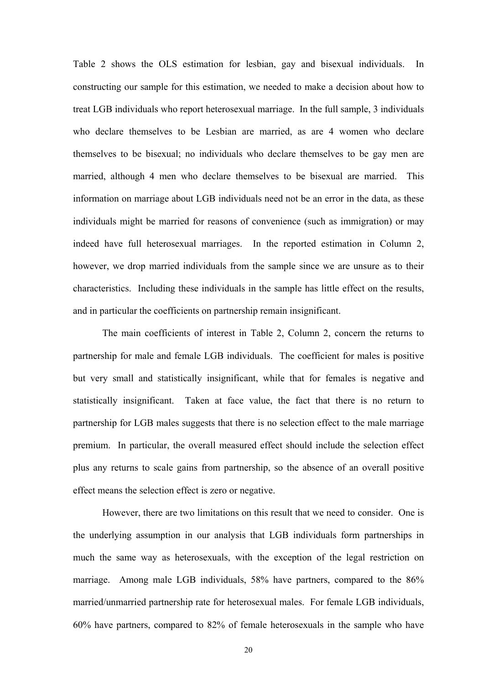Table 2 shows the OLS estimation for lesbian, gay and bisexual individuals. In constructing our sample for this estimation, we needed to make a decision about how to treat LGB individuals who report heterosexual marriage. In the full sample, 3 individuals who declare themselves to be Lesbian are married, as are 4 women who declare themselves to be bisexual; no individuals who declare themselves to be gay men are married, although 4 men who declare themselves to be bisexual are married. This information on marriage about LGB individuals need not be an error in the data, as these individuals might be married for reasons of convenience (such as immigration) or may indeed have full heterosexual marriages. In the reported estimation in Column 2, however, we drop married individuals from the sample since we are unsure as to their characteristics. Including these individuals in the sample has little effect on the results, and in particular the coefficients on partnership remain insignificant.

The main coefficients of interest in Table 2, Column 2, concern the returns to partnership for male and female LGB individuals. The coefficient for males is positive but very small and statistically insignificant, while that for females is negative and statistically insignificant. Taken at face value, the fact that there is no return to partnership for LGB males suggests that there is no selection effect to the male marriage premium. In particular, the overall measured effect should include the selection effect plus any returns to scale gains from partnership, so the absence of an overall positive effect means the selection effect is zero or negative.

However, there are two limitations on this result that we need to consider. One is the underlying assumption in our analysis that LGB individuals form partnerships in much the same way as heterosexuals, with the exception of the legal restriction on marriage. Among male LGB individuals, 58% have partners, compared to the 86% married/unmarried partnership rate for heterosexual males. For female LGB individuals, 60% have partners, compared to 82% of female heterosexuals in the sample who have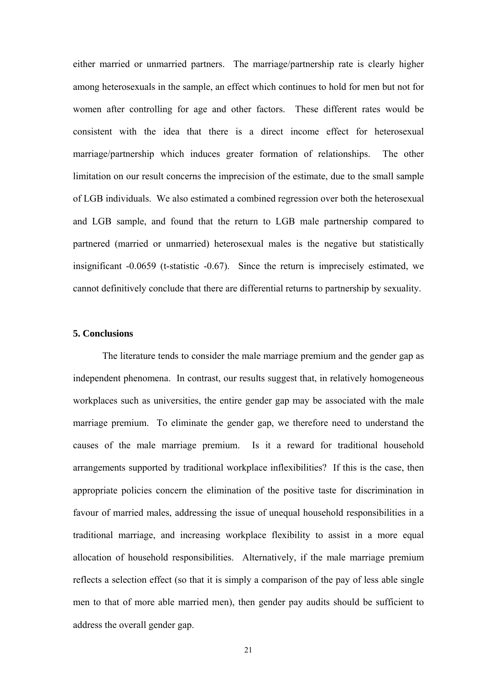either married or unmarried partners.The marriage/partnership rate is clearly higher among heterosexuals in the sample, an effect which continues to hold for men but not for women after controlling for age and other factors. These different rates would be consistent with the idea that there is a direct income effect for heterosexual marriage/partnership which induces greater formation of relationships. The other limitation on our result concerns the imprecision of the estimate, due to the small sample of LGB individuals. We also estimated a combined regression over both the heterosexual and LGB sample, and found that the return to LGB male partnership compared to partnered (married or unmarried) heterosexual males is the negative but statistically insignificant -0.0659 (t-statistic -0.67). Since the return is imprecisely estimated, we cannot definitively conclude that there are differential returns to partnership by sexuality.

## **5. Conclusions**

The literature tends to consider the male marriage premium and the gender gap as independent phenomena. In contrast, our results suggest that, in relatively homogeneous workplaces such as universities, the entire gender gap may be associated with the male marriage premium. To eliminate the gender gap, we therefore need to understand the causes of the male marriage premium. Is it a reward for traditional household arrangements supported by traditional workplace inflexibilities? If this is the case, then appropriate policies concern the elimination of the positive taste for discrimination in favour of married males, addressing the issue of unequal household responsibilities in a traditional marriage, and increasing workplace flexibility to assist in a more equal allocation of household responsibilities. Alternatively, if the male marriage premium reflects a selection effect (so that it is simply a comparison of the pay of less able single men to that of more able married men), then gender pay audits should be sufficient to address the overall gender gap.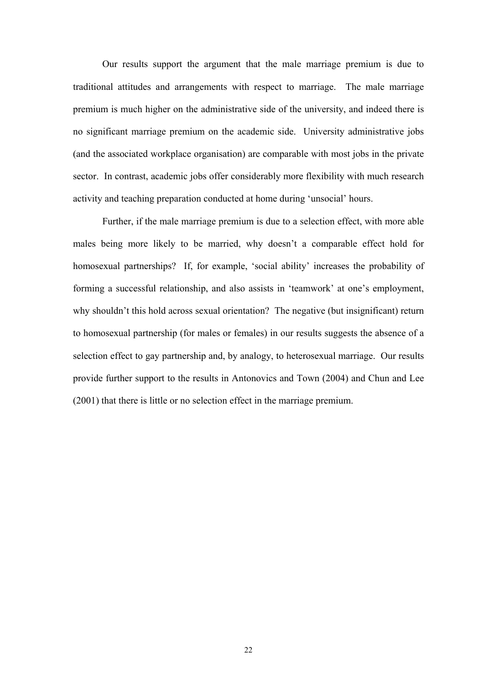Our results support the argument that the male marriage premium is due to traditional attitudes and arrangements with respect to marriage. The male marriage premium is much higher on the administrative side of the university, and indeed there is no significant marriage premium on the academic side. University administrative jobs (and the associated workplace organisation) are comparable with most jobs in the private sector. In contrast, academic jobs offer considerably more flexibility with much research activity and teaching preparation conducted at home during 'unsocial' hours.

 Further, if the male marriage premium is due to a selection effect, with more able males being more likely to be married, why doesn't a comparable effect hold for homosexual partnerships? If, for example, 'social ability' increases the probability of forming a successful relationship, and also assists in 'teamwork' at one's employment, why shouldn't this hold across sexual orientation? The negative (but insignificant) return to homosexual partnership (for males or females) in our results suggests the absence of a selection effect to gay partnership and, by analogy, to heterosexual marriage. Our results provide further support to the results in Antonovics and Town (2004) and Chun and Lee (2001) that there is little or no selection effect in the marriage premium.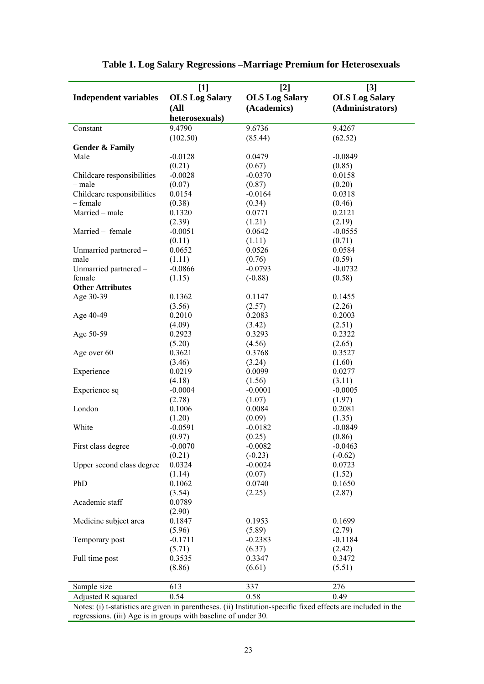|                              | $[1]$                 | $[2]$                 | $[3]$                 |
|------------------------------|-----------------------|-----------------------|-----------------------|
| <b>Independent variables</b> | <b>OLS Log Salary</b> | <b>OLS Log Salary</b> | <b>OLS Log Salary</b> |
|                              | (All                  | (Academics)           | (Administrators)      |
|                              | heterosexuals)        |                       |                       |
| Constant                     | 9.4790                | 9.6736                | 9.4267                |
|                              | (102.50)              | (85.44)               | (62.52)               |
| <b>Gender &amp; Family</b>   |                       |                       |                       |
| Male                         | $-0.0128$             | 0.0479                | $-0.0849$             |
|                              | (0.21)                | (0.67)                | (0.85)                |
| Childcare responsibilities   | $-0.0028$             | $-0.0370$             | 0.0158                |
| – male                       | (0.07)                | (0.87)                | (0.20)                |
| Childcare responsibilities   | 0.0154                | $-0.0164$             | 0.0318                |
| $-$ female                   | (0.38)                | (0.34)                | (0.46)                |
| Married - male               | 0.1320                | 0.0771                | 0.2121                |
|                              | (2.39)                | (1.21)                | (2.19)                |
| Married - female             | $-0.0051$             | 0.0642                | $-0.0555$             |
|                              | (0.11)                | (1.11)                | (0.71)                |
| Unmarried partnered -        | 0.0652                | 0.0526                | 0.0584                |
| male                         | (1.11)                | (0.76)                | (0.59)                |
| Unmarried partnered -        | $-0.0866$             | $-0.0793$             | $-0.0732$             |
| female                       | (1.15)                | $(-0.88)$             | (0.58)                |
| <b>Other Attributes</b>      |                       |                       |                       |
| Age 30-39                    | 0.1362                | 0.1147                | 0.1455                |
|                              | (3.56)                | (2.57)                | (2.26)                |
| Age 40-49                    | 0.2010                | 0.2083                | 0.2003                |
|                              | (4.09)                | (3.42)                | (2.51)                |
| Age 50-59                    | 0.2923                | 0.3293                | 0.2322                |
|                              | (5.20)                | (4.56)                | (2.65)                |
| Age over 60                  | 0.3621                | 0.3768                | 0.3527                |
|                              | (3.46)                | (3.24)                | (1.60)                |
| Experience                   | 0.0219                | 0.0099                | 0.0277                |
|                              | (4.18)                | (1.56)                | (3.11)                |
| Experience sq                | $-0.0004$             | $-0.0001$             | $-0.0005$             |
|                              | (2.78)                | (1.07)                | (1.97)                |
| London                       | 0.1006                | 0.0084                | 0.2081                |
|                              | (1.20)                | (0.09)                | (1.35)                |
| White                        | $-0.0591$             | $-0.0182$             | $-0.0849$             |
|                              | (0.97)                | (0.25)                | (0.86)                |
| First class degree           | $-0.0070$             | $-0.0082$             | $-0.0463$             |
|                              | (0.21)                | $(-0.23)$             | $(-0.62)$             |
| Upper second class degree    | 0.0324                | $-0.0024$             | 0.0723                |
|                              | (1.14)                | (0.07)                | (1.52)                |
| PhD                          | 0.1062                | 0.0740                | 0.1650                |
|                              | (3.54)                | (2.25)                | (2.87)                |
| Academic staff               | 0.0789                |                       |                       |
|                              |                       |                       |                       |
| Medicine subject area        | (2.90)<br>0.1847      | 0.1953                | 0.1699                |
|                              |                       |                       |                       |
|                              | (5.96)                | (5.89)                | (2.79)                |
| Temporary post               | $-0.1711$             | $-0.2383$             | $-0.1184$             |
|                              | (5.71)                | (6.37)                | (2.42)                |
| Full time post               | 0.3535                | 0.3347                | 0.3472                |
|                              | (8.86)                | (6.61)                | (5.51)                |
|                              |                       |                       |                       |
| Sample size                  | 613                   | 337                   | 276                   |
| Adjusted R squared           | 0.54                  | 0.58                  | 0.49                  |

| Table 1. Log Salary Regressions – Marriage Premium for Heterosexuals |  |  |  |
|----------------------------------------------------------------------|--|--|--|
|                                                                      |  |  |  |

Notes: (i) t-statistics are given in parentheses. (ii) Institution-specific fixed effects are included in the regressions. (iii) Age is in groups with baseline of under 30.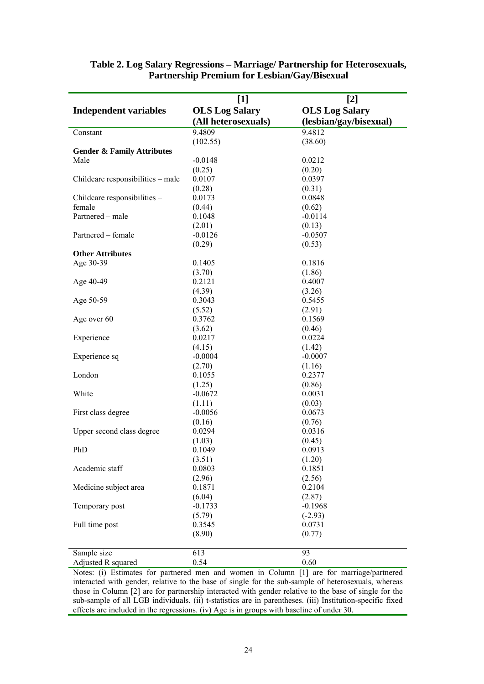| $[1]$<br>$[2]$                        |                       |                        |  |  |
|---------------------------------------|-----------------------|------------------------|--|--|
| <b>Independent variables</b>          | <b>OLS Log Salary</b> | <b>OLS Log Salary</b>  |  |  |
|                                       | (All heterosexuals)   | (lesbian/gay/bisexual) |  |  |
| Constant                              | 9.4809                | 9.4812                 |  |  |
|                                       | (102.55)              | (38.60)                |  |  |
| <b>Gender &amp; Family Attributes</b> |                       |                        |  |  |
| Male                                  | $-0.0148$             | 0.0212                 |  |  |
|                                       | (0.25)                | (0.20)                 |  |  |
| Childcare responsibilities - male     | 0.0107                | 0.0397                 |  |  |
|                                       | (0.28)                | (0.31)                 |  |  |
| Childcare responsibilities -          | 0.0173                | 0.0848                 |  |  |
| female                                | (0.44)                | (0.62)                 |  |  |
| Partnered - male                      | 0.1048                | $-0.0114$              |  |  |
|                                       | (2.01)                | (0.13)                 |  |  |
| Partnered - female                    | $-0.0126$             | $-0.0507$              |  |  |
|                                       | (0.29)                | (0.53)                 |  |  |
| <b>Other Attributes</b>               |                       |                        |  |  |
| Age 30-39                             | 0.1405                | 0.1816                 |  |  |
|                                       | (3.70)                | (1.86)                 |  |  |
| Age 40-49                             | 0.2121                | 0.4007                 |  |  |
|                                       | (4.39)                | (3.26)                 |  |  |
| Age 50-59                             | 0.3043                | 0.5455                 |  |  |
|                                       | (5.52)                | (2.91)                 |  |  |
| Age over 60                           | 0.3762                | 0.1569                 |  |  |
|                                       | (3.62)                | (0.46)                 |  |  |
| Experience                            | 0.0217                | 0.0224                 |  |  |
|                                       | (4.15)                | (1.42)                 |  |  |
| Experience sq                         | $-0.0004$             | $-0.0007$              |  |  |
|                                       | (2.70)                | (1.16)                 |  |  |
| London                                | 0.1055                | 0.2377                 |  |  |
|                                       | (1.25)                | (0.86)                 |  |  |
| White                                 | $-0.0672$             | 0.0031                 |  |  |
|                                       | (1.11)                | (0.03)                 |  |  |
| First class degree                    | $-0.0056$             | 0.0673                 |  |  |
|                                       | (0.16)                | (0.76)                 |  |  |
| Upper second class degree             | 0.0294                | 0.0316                 |  |  |
|                                       | (1.03)                | (0.45)                 |  |  |
| PhD                                   | 0.1049                | 0.0913                 |  |  |
|                                       | (3.51)                | (1.20)                 |  |  |
| Academic staff                        | 0.0803                | 0.1851                 |  |  |
|                                       | (2.96)                | (2.56)                 |  |  |
| Medicine subject area                 | 0.1871                | 0.2104                 |  |  |
|                                       | (6.04)                | (2.87)                 |  |  |
| Temporary post                        | $-0.1733$             | $-0.1968$              |  |  |
|                                       | (5.79)                | $(-2.93)$              |  |  |
| Full time post                        | 0.3545                | 0.0731                 |  |  |
|                                       | (8.90)                | (0.77)                 |  |  |
|                                       | 613                   | 93                     |  |  |
| Sample size<br>Adjusted R squared     | 0.54                  | 0.60                   |  |  |
|                                       |                       |                        |  |  |

## **Table 2. Log Salary Regressions – Marriage/ Partnership for Heterosexuals, Partnership Premium for Lesbian/Gay/Bisexual**

Notes: (i) Estimates for partnered men and women in Column [1] are for marriage/partnered interacted with gender, relative to the base of single for the sub-sample of heterosexuals, whereas those in Column [2] are for partnership interacted with gender relative to the base of single for the sub-sample of all LGB individuals. (ii) t-statistics are in parentheses. (iii) Institution-specific fixed effects are included in the regressions. (iv) Age is in groups with baseline of under 30.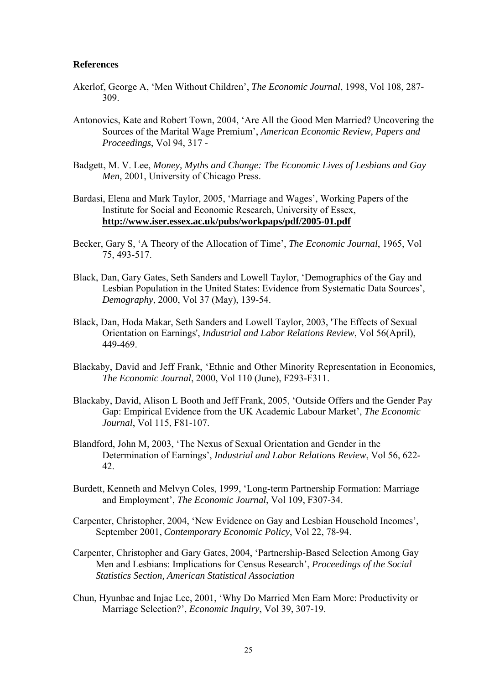### **References**

- Akerlof, George A, 'Men Without Children', *The Economic Journal*, 1998, Vol 108, 287- 309.
- Antonovics, Kate and Robert Town, 2004, 'Are All the Good Men Married? Uncovering the Sources of the Marital Wage Premium', *American Economic Review, Papers and Proceedings*, Vol 94, 317 -
- Badgett, M. V. Lee, *Money, Myths and Change: The Economic Lives of Lesbians and Gay Men,* 2001, University of Chicago Press.
- Bardasi, Elena and Mark Taylor, 2005, 'Marriage and Wages', Working Papers of the Institute for Social and Economic Research, University of Essex, **http://www.iser.essex.ac.uk/pubs/workpaps/pdf/2005-01.pdf**
- Becker, Gary S, 'A Theory of the Allocation of Time', *The Economic Journal*, 1965, Vol 75, 493-517.
- Black, Dan, Gary Gates, Seth Sanders and Lowell Taylor, 'Demographics of the Gay and Lesbian Population in the United States: Evidence from Systematic Data Sources', *Demography*, 2000, Vol 37 (May), 139-54.
- Black, Dan, Hoda Makar, Seth Sanders and Lowell Taylor, 2003, 'The Effects of Sexual Orientation on Earnings', *Industrial and Labor Relations Review*, Vol 56(April), 449-469.
- Blackaby, David and Jeff Frank, 'Ethnic and Other Minority Representation in Economics, *The Economic Journal*, 2000, Vol 110 (June), F293-F311.
- Blackaby, David, Alison L Booth and Jeff Frank, 2005, 'Outside Offers and the Gender Pay Gap: Empirical Evidence from the UK Academic Labour Market', *The Economic Journal*, Vol 115, F81-107.
- Blandford, John M, 2003, 'The Nexus of Sexual Orientation and Gender in the Determination of Earnings', *Industrial and Labor Relations Review*, Vol 56, 622- 42.
- Burdett, Kenneth and Melvyn Coles, 1999, 'Long-term Partnership Formation: Marriage and Employment', *The Economic Journal*, Vol 109, F307-34.
- Carpenter, Christopher, 2004, 'New Evidence on Gay and Lesbian Household Incomes', September 2001, *Contemporary Economic Policy*, Vol 22, 78-94.
- Carpenter, Christopher and Gary Gates, 2004, 'Partnership-Based Selection Among Gay Men and Lesbians: Implications for Census Research', *Proceedings of the Social Statistics Section, American Statistical Association*
- Chun, Hyunbae and Injae Lee, 2001, 'Why Do Married Men Earn More: Productivity or Marriage Selection?', *Economic Inquiry*, Vol 39, 307-19.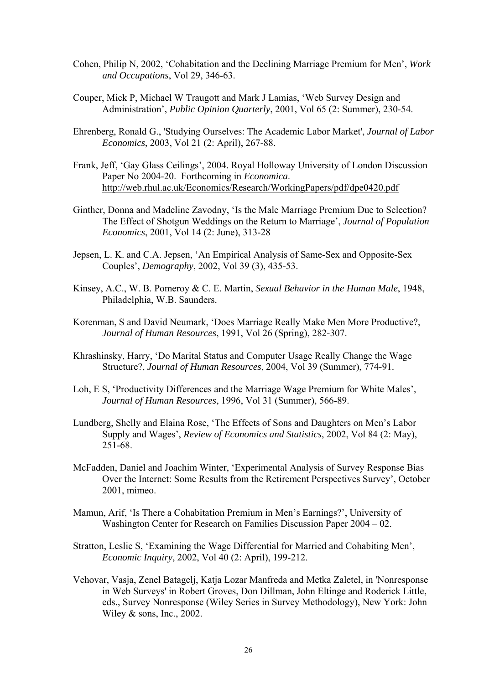- Cohen, Philip N, 2002, 'Cohabitation and the Declining Marriage Premium for Men', *Work and Occupations*, Vol 29, 346-63.
- Couper, Mick P, Michael W Traugott and Mark J Lamias, 'Web Survey Design and Administration', *Public Opinion Quarterly*, 2001, Vol 65 (2: Summer), 230-54.
- Ehrenberg, Ronald G., 'Studying Ourselves: The Academic Labor Market', *Journal of Labor Economics*, 2003, Vol 21 (2: April), 267-88.
- Frank, Jeff, 'Gay Glass Ceilings', 2004. Royal Holloway University of London Discussion Paper No 2004-20. Forthcoming in *Economica*. http://web.rhul.ac.uk/Economics/Research/WorkingPapers/pdf/dpe0420.pdf
- Ginther, Donna and Madeline Zavodny, 'Is the Male Marriage Premium Due to Selection? The Effect of Shotgun Weddings on the Return to Marriage', *Journal of Population Economics*, 2001, Vol 14 (2: June), 313-28
- Jepsen, L. K. and C.A. Jepsen, 'An Empirical Analysis of Same-Sex and Opposite-Sex Couples', *Demography*, 2002, Vol 39 (3), 435-53.
- Kinsey, A.C., W. B. Pomeroy & C. E. Martin, *Sexual Behavior in the Human Male*, 1948, Philadelphia, W.B. Saunders.
- Korenman, S and David Neumark, 'Does Marriage Really Make Men More Productive?, *Journal of Human Resources*, 1991, Vol 26 (Spring), 282-307.
- Khrashinsky, Harry, 'Do Marital Status and Computer Usage Really Change the Wage Structure?, *Journal of Human Resources*, 2004, Vol 39 (Summer), 774-91.
- Loh, E S, 'Productivity Differences and the Marriage Wage Premium for White Males', *Journal of Human Resources*, 1996, Vol 31 (Summer), 566-89.
- Lundberg, Shelly and Elaina Rose, 'The Effects of Sons and Daughters on Men's Labor Supply and Wages', *Review of Economics and Statistics*, 2002, Vol 84 (2: May), 251-68.
- McFadden, Daniel and Joachim Winter, 'Experimental Analysis of Survey Response Bias Over the Internet: Some Results from the Retirement Perspectives Survey', October 2001, mimeo.
- Mamun, Arif, 'Is There a Cohabitation Premium in Men's Earnings?', University of Washington Center for Research on Families Discussion Paper 2004 – 02.
- Stratton, Leslie S, 'Examining the Wage Differential for Married and Cohabiting Men', *Economic Inquiry*, 2002, Vol 40 (2: April), 199-212.
- Vehovar, Vasja, Zenel Batagelj, Katja Lozar Manfreda and Metka Zaletel, in 'Nonresponse in Web Surveys' in Robert Groves, Don Dillman, John Eltinge and Roderick Little, eds., Survey Nonresponse (Wiley Series in Survey Methodology), New York: John Wiley & sons, Inc., 2002.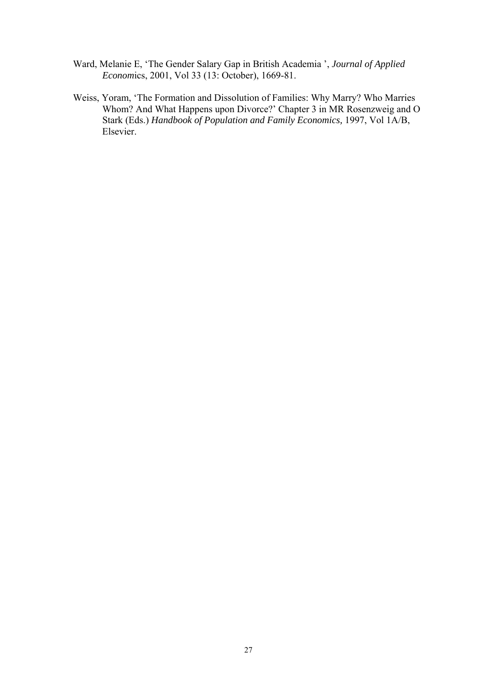- Ward, Melanie E, 'The Gender Salary Gap in British Academia ', *Journal of Applied Econom*ics, 2001, Vol 33 (13: October), 1669-81.
- Weiss, Yoram, 'The Formation and Dissolution of Families: Why Marry? Who Marries Whom? And What Happens upon Divorce?' Chapter 3 in MR Rosenzweig and O Stark (Eds.) *Handbook of Population and Family Economics,* 1997, Vol 1A/B, Elsevier.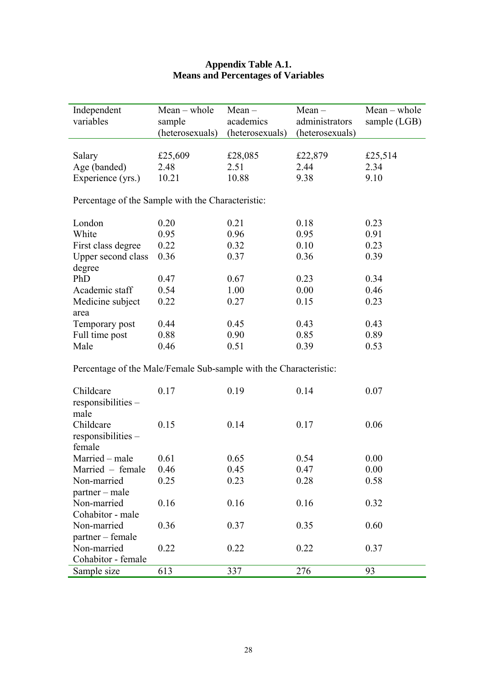## **Appendix Table A.1. Means and Percentages of Variables**

| Independent                                                       | $Mean - whole$  | $Mean -$        | $Mean -$        | $Mean - whole$ |  |  |
|-------------------------------------------------------------------|-----------------|-----------------|-----------------|----------------|--|--|
| variables                                                         | sample          | academics       | administrators  | sample (LGB)   |  |  |
|                                                                   | (heterosexuals) | (heterosexuals) | (heterosexuals) |                |  |  |
|                                                                   |                 |                 |                 |                |  |  |
| Salary                                                            | £25,609         | £28,085         | £22,879         | £25,514        |  |  |
| Age (banded)                                                      | 2.48            | 2.51            | 2.44            | 2.34           |  |  |
| Experience (yrs.)                                                 | 10.21           | 10.88           | 9.38            | 9.10           |  |  |
|                                                                   |                 |                 |                 |                |  |  |
| Percentage of the Sample with the Characteristic:                 |                 |                 |                 |                |  |  |
| London                                                            | 0.20            | 0.21            | 0.18            | 0.23           |  |  |
|                                                                   |                 |                 |                 |                |  |  |
| White                                                             | 0.95            | 0.96            | 0.95            | 0.91           |  |  |
| First class degree                                                | 0.22            | 0.32            | 0.10            | 0.23           |  |  |
| Upper second class                                                | 0.36            | 0.37            | 0.36            | 0.39           |  |  |
| degree                                                            |                 |                 |                 |                |  |  |
| PhD                                                               | 0.47            | 0.67            | 0.23            | 0.34           |  |  |
| Academic staff                                                    | 0.54            | 1.00            | 0.00            | 0.46           |  |  |
| Medicine subject                                                  | 0.22            | 0.27            | 0.15            | 0.23           |  |  |
| area                                                              |                 |                 |                 |                |  |  |
| Temporary post                                                    | 0.44            | 0.45            | 0.43            | 0.43           |  |  |
| Full time post                                                    | 0.88            | 0.90            | 0.85            | 0.89           |  |  |
| Male                                                              | 0.46            | 0.51            | 0.39            | 0.53           |  |  |
| Percentage of the Male/Female Sub-sample with the Characteristic: |                 |                 |                 |                |  |  |
|                                                                   |                 |                 |                 |                |  |  |
| Childcare                                                         | 0.17            | 0.19            | 0.14            | 0.07           |  |  |
| responsibilities -                                                |                 |                 |                 |                |  |  |
| male                                                              |                 |                 |                 |                |  |  |
| Childcare                                                         | 0.15            | 0.14            | 0.17            | 0.06           |  |  |
| responsibleities –                                                |                 |                 |                 |                |  |  |
| female                                                            |                 |                 |                 |                |  |  |
| Married – male                                                    | 0.61            | 0.65            | 0.54            | 0.00           |  |  |
|                                                                   |                 |                 |                 |                |  |  |
| Married – female<br>Non-married                                   | 0.46<br>0.25    | 0.45<br>0.23    | 0.47<br>0.28    | 0.00<br>0.58   |  |  |
| partner - male                                                    |                 |                 |                 |                |  |  |
|                                                                   |                 |                 |                 |                |  |  |
| Non-married                                                       | 0.16            | 0.16            | 0.16            | 0.32           |  |  |
| Cohabitor - male                                                  |                 |                 |                 |                |  |  |
| Non-married                                                       | 0.36            | 0.37            | 0.35            | 0.60           |  |  |
| partner – female                                                  |                 |                 |                 |                |  |  |
| Non-married                                                       | 0.22            | 0.22            | 0.22            | 0.37           |  |  |
| Cohabitor - female                                                |                 |                 |                 |                |  |  |
| Sample size                                                       | 613             | 337             | 276             | 93             |  |  |